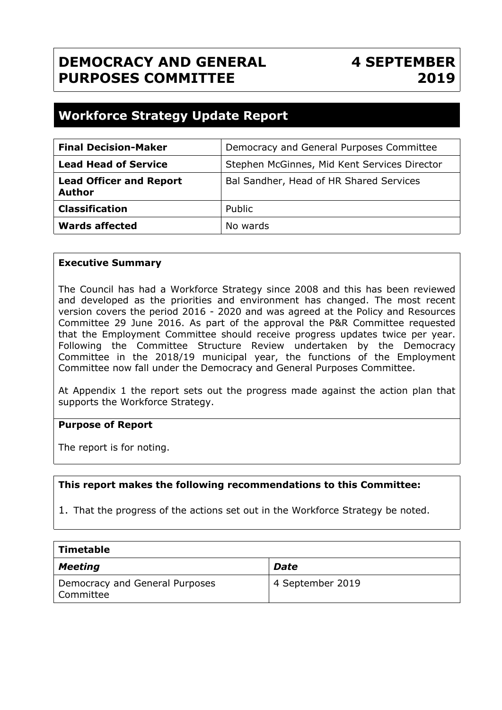## **DEMOCRACY AND GENERAL PURPOSES COMMITTEE**

## **4 SEPTEMBER 2019**

### **Workforce Strategy Update Report**

| <b>Final Decision-Maker</b>                     | Democracy and General Purposes Committee     |  |
|-------------------------------------------------|----------------------------------------------|--|
| <b>Lead Head of Service</b>                     | Stephen McGinnes, Mid Kent Services Director |  |
| <b>Lead Officer and Report</b><br><b>Author</b> | Bal Sandher, Head of HR Shared Services      |  |
| <b>Classification</b>                           | Public                                       |  |
| <b>Wards affected</b>                           | No wards                                     |  |

#### **Executive Summary**

The Council has had a Workforce Strategy since 2008 and this has been reviewed and developed as the priorities and environment has changed. The most recent version covers the period 2016 - 2020 and was agreed at the Policy and Resources Committee 29 June 2016. As part of the approval the P&R Committee requested that the Employment Committee should receive progress updates twice per year. Following the Committee Structure Review undertaken by the Democracy Committee in the 2018/19 municipal year, the functions of the Employment Committee now fall under the Democracy and General Purposes Committee.

At Appendix 1 the report sets out the progress made against the action plan that supports the Workforce Strategy.

#### **Purpose of Report**

The report is for noting.

#### **This report makes the following recommendations to this Committee:**

1. That the progress of the actions set out in the Workforce Strategy be noted.

| $\mid$ Timetable                            |                  |  |  |
|---------------------------------------------|------------------|--|--|
| <b>Meeting</b>                              | Date             |  |  |
| Democracy and General Purposes<br>Committee | 4 September 2019 |  |  |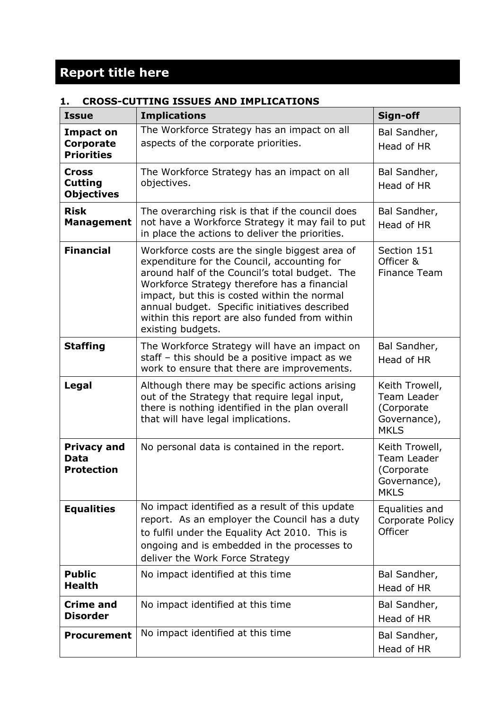# **Report title here**

#### **1. CROSS-CUTTING ISSUES AND IMPLICATIONS**

| <b>Issue</b>                                        | <b>Implications</b>                                                                                                                                                                                                                                                                                                                                                     | Sign-off                                                                          |
|-----------------------------------------------------|-------------------------------------------------------------------------------------------------------------------------------------------------------------------------------------------------------------------------------------------------------------------------------------------------------------------------------------------------------------------------|-----------------------------------------------------------------------------------|
| <b>Impact on</b><br>Corporate<br><b>Priorities</b>  | The Workforce Strategy has an impact on all<br>aspects of the corporate priorities.                                                                                                                                                                                                                                                                                     | Bal Sandher,<br>Head of HR                                                        |
| <b>Cross</b><br><b>Cutting</b><br><b>Objectives</b> | The Workforce Strategy has an impact on all<br>objectives.                                                                                                                                                                                                                                                                                                              | Bal Sandher,<br>Head of HR                                                        |
| <b>Risk</b><br><b>Management</b>                    | The overarching risk is that if the council does<br>not have a Workforce Strategy it may fail to put<br>in place the actions to deliver the priorities.                                                                                                                                                                                                                 | Bal Sandher,<br>Head of HR                                                        |
| <b>Financial</b>                                    | Workforce costs are the single biggest area of<br>expenditure for the Council, accounting for<br>around half of the Council's total budget. The<br>Workforce Strategy therefore has a financial<br>impact, but this is costed within the normal<br>annual budget. Specific initiatives described<br>within this report are also funded from within<br>existing budgets. | Section 151<br>Officer &<br><b>Finance Team</b>                                   |
| <b>Staffing</b>                                     | The Workforce Strategy will have an impact on<br>staff - this should be a positive impact as we<br>work to ensure that there are improvements.                                                                                                                                                                                                                          | Bal Sandher,<br>Head of HR                                                        |
| Legal                                               | Although there may be specific actions arising<br>out of the Strategy that require legal input,<br>there is nothing identified in the plan overall<br>that will have legal implications.                                                                                                                                                                                | Keith Trowell,<br><b>Team Leader</b><br>(Corporate<br>Governance),<br><b>MKLS</b> |
| <b>Privacy and</b><br>Data<br><b>Protection</b>     | No personal data is contained in the report.                                                                                                                                                                                                                                                                                                                            | Keith Trowell,<br>Team Leader<br>(Corporate<br>Governance),<br><b>MKLS</b>        |
| <b>Equalities</b>                                   | No impact identified as a result of this update<br>report. As an employer the Council has a duty<br>to fulfil under the Equality Act 2010. This is<br>ongoing and is embedded in the processes to<br>deliver the Work Force Strategy                                                                                                                                    | Equalities and<br>Corporate Policy<br>Officer                                     |
| <b>Public</b><br><b>Health</b>                      | No impact identified at this time                                                                                                                                                                                                                                                                                                                                       | Bal Sandher,<br>Head of HR                                                        |
| <b>Crime and</b><br><b>Disorder</b>                 | No impact identified at this time                                                                                                                                                                                                                                                                                                                                       | Bal Sandher,<br>Head of HR                                                        |
| <b>Procurement</b>                                  | No impact identified at this time                                                                                                                                                                                                                                                                                                                                       | Bal Sandher,<br>Head of HR                                                        |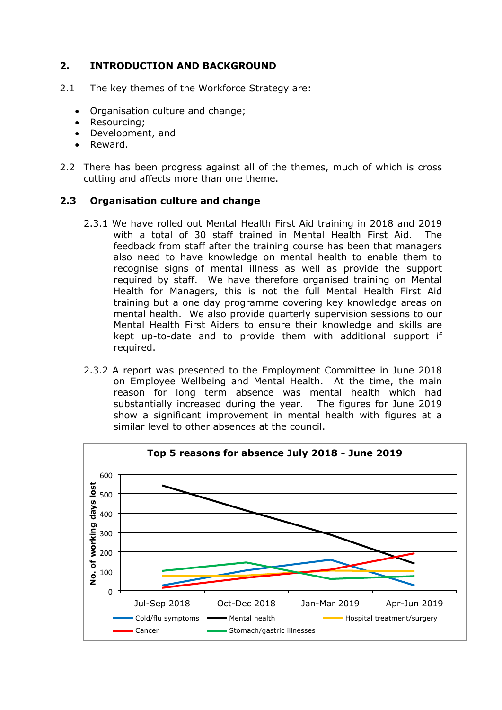#### **2. INTRODUCTION AND BACKGROUND**

- 2.1 The key themes of the Workforce Strategy are:
	- Organisation culture and change;
	- Resourcing:
	- Development, and
	- Reward.
- 2.2 There has been progress against all of the themes, much of which is cross cutting and affects more than one theme.

#### **2.3 Organisation culture and change**

- 2.3.1 We have rolled out Mental Health First Aid training in 2018 and 2019 with a total of 30 staff trained in Mental Health First Aid. The feedback from staff after the training course has been that managers also need to have knowledge on mental health to enable them to recognise signs of mental illness as well as provide the support required by staff. We have therefore organised training on Mental Health for Managers, this is not the full Mental Health First Aid training but a one day programme covering key knowledge areas on mental health. We also provide quarterly supervision sessions to our Mental Health First Aiders to ensure their knowledge and skills are kept up-to-date and to provide them with additional support if required.
- 2.3.2 A report was presented to the Employment Committee in June 2018 on Employee Wellbeing and Mental Health. At the time, the main reason for long term absence was mental health which had substantially increased during the year. The figures for June 2019 show a significant improvement in mental health with figures at a similar level to other absences at the council.

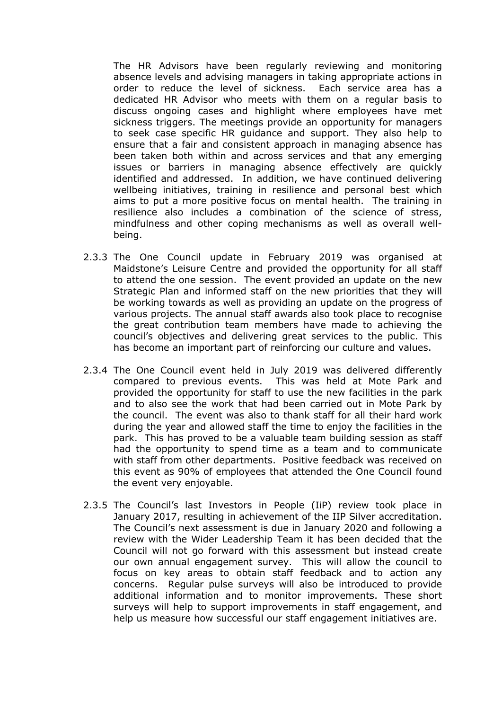The HR Advisors have been regularly reviewing and monitoring absence levels and advising managers in taking appropriate actions in order to reduce the level of sickness. Each service area has a dedicated HR Advisor who meets with them on a regular basis to discuss ongoing cases and highlight where employees have met sickness triggers. The meetings provide an opportunity for managers to seek case specific HR guidance and support. They also help to ensure that a fair and consistent approach in managing absence has been taken both within and across services and that any emerging issues or barriers in managing absence effectively are quickly identified and addressed. In addition, we have continued delivering wellbeing initiatives, training in resilience and personal best which aims to put a more positive focus on mental health. The training in resilience also includes a combination of the science of stress, mindfulness and other coping mechanisms as well as overall wellbeing.

- 2.3.3 The One Council update in February 2019 was organised at Maidstone's Leisure Centre and provided the opportunity for all staff to attend the one session. The event provided an update on the new Strategic Plan and informed staff on the new priorities that they will be working towards as well as providing an update on the progress of various projects. The annual staff awards also took place to recognise the great contribution team members have made to achieving the council's objectives and delivering great services to the public. This has become an important part of reinforcing our culture and values.
- 2.3.4 The One Council event held in July 2019 was delivered differently compared to previous events. This was held at Mote Park and provided the opportunity for staff to use the new facilities in the park and to also see the work that had been carried out in Mote Park by the council. The event was also to thank staff for all their hard work during the year and allowed staff the time to enjoy the facilities in the park. This has proved to be a valuable team building session as staff had the opportunity to spend time as a team and to communicate with staff from other departments. Positive feedback was received on this event as 90% of employees that attended the One Council found the event very enjoyable.
- 2.3.5 The Council's last Investors in People (IiP) review took place in January 2017, resulting in achievement of the IIP Silver accreditation. The Council's next assessment is due in January 2020 and following a review with the Wider Leadership Team it has been decided that the Council will not go forward with this assessment but instead create our own annual engagement survey. This will allow the council to focus on key areas to obtain staff feedback and to action any concerns. Regular pulse surveys will also be introduced to provide additional information and to monitor improvements. These short surveys will help to support improvements in staff engagement, and help us measure how successful our staff engagement initiatives are.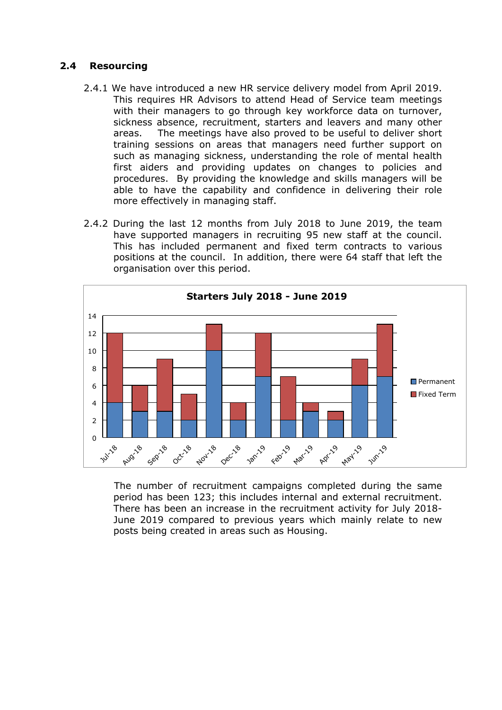#### **2.4 Resourcing**

- 2.4.1 We have introduced a new HR service delivery model from April 2019. This requires HR Advisors to attend Head of Service team meetings with their managers to go through key workforce data on turnover, sickness absence, recruitment, starters and leavers and many other areas. The meetings have also proved to be useful to deliver short training sessions on areas that managers need further support on such as managing sickness, understanding the role of mental health first aiders and providing updates on changes to policies and procedures. By providing the knowledge and skills managers will be able to have the capability and confidence in delivering their role more effectively in managing staff.
- 2.4.2 During the last 12 months from July 2018 to June 2019, the team have supported managers in recruiting 95 new staff at the council. This has included permanent and fixed term contracts to various positions at the council. In addition, there were 64 staff that left the organisation over this period.



 The number of recruitment campaigns completed during the same period has been 123; this includes internal and external recruitment. There has been an increase in the recruitment activity for July 2018- June 2019 compared to previous years which mainly relate to new posts being created in areas such as Housing.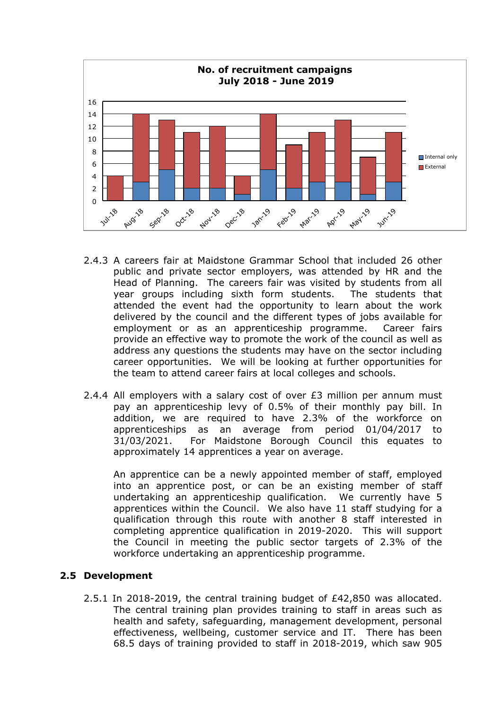

- 2.4.3 A careers fair at Maidstone Grammar School that included 26 other public and private sector employers, was attended by HR and the Head of Planning. The careers fair was visited by students from all year groups including sixth form students. The students that attended the event had the opportunity to learn about the work delivered by the council and the different types of jobs available for employment or as an apprenticeship programme. Career fairs provide an effective way to promote the work of the council as well as address any questions the students may have on the sector including career opportunities. We will be looking at further opportunities for the team to attend career fairs at local colleges and schools.
- 2.4.4 All employers with a salary cost of over £3 million per annum must pay an apprenticeship levy of 0.5% of their monthly pay bill. In addition, we are required to have 2.3% of the workforce on apprenticeships as an average from period 01/04/2017 to 31/03/2021. For Maidstone Borough Council this equates to approximately 14 apprentices a year on average.

An apprentice can be a newly appointed member of staff, employed into an apprentice post, or can be an existing member of staff undertaking an apprenticeship qualification. We currently have 5 apprentices within the Council. We also have 11 staff studying for a qualification through this route with another 8 staff interested in completing apprentice qualification in 2019-2020. This will support the Council in meeting the public sector targets of 2.3% of the workforce undertaking an apprenticeship programme.

#### **2.5 Development**

2.5.1 In 2018-2019, the central training budget of £42,850 was allocated. The central training plan provides training to staff in areas such as health and safety, safeguarding, management development, personal effectiveness, wellbeing, customer service and IT. There has been 68.5 days of training provided to staff in 2018-2019, which saw 905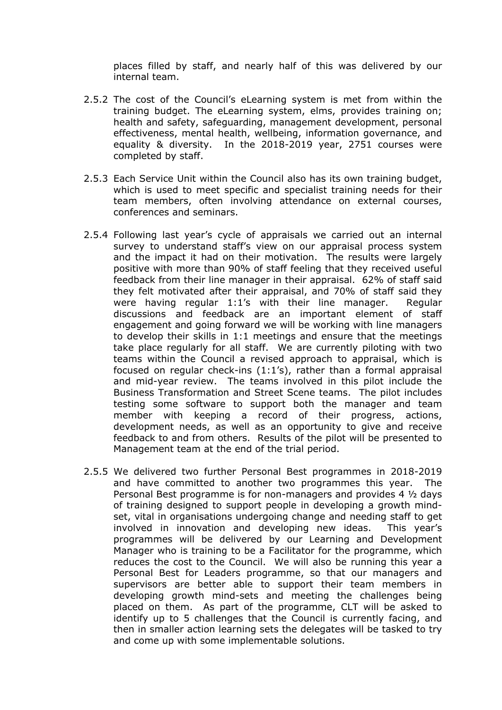places filled by staff, and nearly half of this was delivered by our internal team.

- 2.5.2 The cost of the Council's eLearning system is met from within the training budget. The eLearning system, elms, provides training on; health and safety, safeguarding, management development, personal effectiveness, mental health, wellbeing, information governance, and equality & diversity. In the 2018-2019 year, 2751 courses were completed by staff.
- 2.5.3 Each Service Unit within the Council also has its own training budget, which is used to meet specific and specialist training needs for their team members, often involving attendance on external courses, conferences and seminars.
- 2.5.4 Following last year's cycle of appraisals we carried out an internal survey to understand staff's view on our appraisal process system and the impact it had on their motivation. The results were largely positive with more than 90% of staff feeling that they received useful feedback from their line manager in their appraisal. 62% of staff said they felt motivated after their appraisal, and 70% of staff said they were having regular 1:1's with their line manager. Regular discussions and feedback are an important element of staff engagement and going forward we will be working with line managers to develop their skills in 1:1 meetings and ensure that the meetings take place regularly for all staff. We are currently piloting with two teams within the Council a revised approach to appraisal, which is focused on regular check-ins (1:1's), rather than a formal appraisal and mid-year review. The teams involved in this pilot include the Business Transformation and Street Scene teams. The pilot includes testing some software to support both the manager and team member with keeping a record of their progress, actions, development needs, as well as an opportunity to give and receive feedback to and from others. Results of the pilot will be presented to Management team at the end of the trial period.
- 2.5.5 We delivered two further Personal Best programmes in 2018-2019 and have committed to another two programmes this year. The Personal Best programme is for non-managers and provides 4 ½ days of training designed to support people in developing a growth mindset, vital in organisations undergoing change and needing staff to get involved in innovation and developing new ideas. This year's programmes will be delivered by our Learning and Development Manager who is training to be a Facilitator for the programme, which reduces the cost to the Council. We will also be running this year a Personal Best for Leaders programme, so that our managers and supervisors are better able to support their team members in developing growth mind-sets and meeting the challenges being placed on them. As part of the programme, CLT will be asked to identify up to 5 challenges that the Council is currently facing, and then in smaller action learning sets the delegates will be tasked to try and come up with some implementable solutions.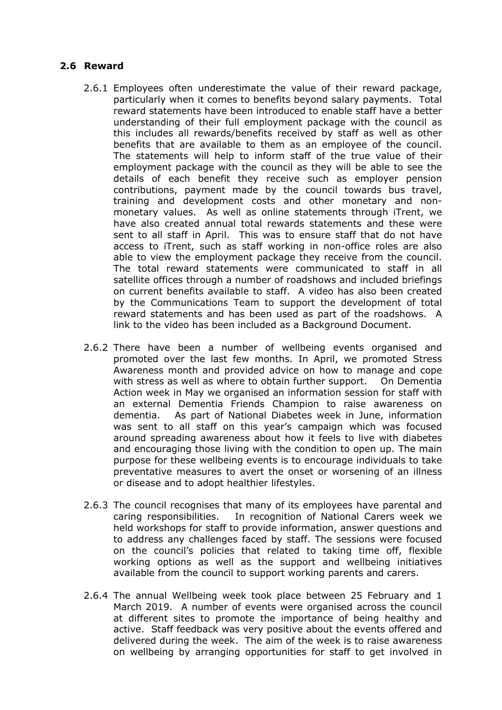#### **2.6 Reward**

- 2.6.1 Employees often underestimate the value of their reward package, particularly when it comes to benefits beyond salary payments. Total reward statements have been introduced to enable staff have a better understanding of their full employment package with the council as this includes all rewards/benefits received by staff as well as other benefits that are available to them as an employee of the council. The statements will help to inform staff of the true value of their employment package with the council as they will be able to see the details of each benefit they receive such as employer pension contributions, payment made by the council towards bus travel, training and development costs and other monetary and nonmonetary values. As well as online statements through iTrent, we have also created annual total rewards statements and these were sent to all staff in April. This was to ensure staff that do not have access to iTrent, such as staff working in non-office roles are also able to view the employment package they receive from the council. The total reward statements were communicated to staff in all satellite offices through a number of roadshows and included briefings on current benefits available to staff. A video has also been created by the Communications Team to support the development of total reward statements and has been used as part of the roadshows. A link to the video has been included as a Background Document.
- 2.6.2 There have been a number of wellbeing events organised and promoted over the last few months. In April, we promoted Stress Awareness month and provided advice on how to manage and cope with stress as well as where to obtain further support. On Dementia Action week in May we organised an information session for staff with an external Dementia Friends Champion to raise awareness on dementia. As part of National Diabetes week in June, information was sent to all staff on this year's campaign which was focused around spreading awareness about how it feels to live with diabetes and encouraging those living with the condition to open up. The main purpose for these wellbeing events is to encourage individuals to take preventative measures to avert the onset or worsening of an illness or disease and to adopt healthier lifestyles.
- 2.6.3 The council recognises that many of its employees have parental and caring responsibilities. In recognition of National Carers week we held workshops for staff to provide information, answer questions and to address any challenges faced by staff. The sessions were focused on the council's policies that related to taking time off, flexible working options as well as the support and wellbeing initiatives available from the council to support working parents and carers.
- 2.6.4 The annual Wellbeing week took place between 25 February and 1 March 2019. A number of events were organised across the council at different sites to promote the importance of being healthy and active. Staff feedback was very positive about the events offered and delivered during the week. The aim of the week is to raise awareness on wellbeing by arranging opportunities for staff to get involved in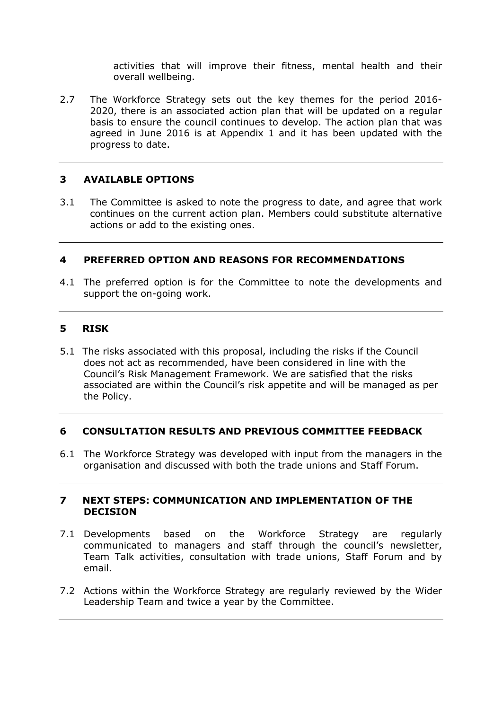activities that will improve their fitness, mental health and their overall wellbeing.

2.7 The Workforce Strategy sets out the key themes for the period 2016- 2020, there is an associated action plan that will be updated on a regular basis to ensure the council continues to develop. The action plan that was agreed in June 2016 is at Appendix 1 and it has been updated with the progress to date.

#### **3 AVAILABLE OPTIONS**

3.1 The Committee is asked to note the progress to date, and agree that work continues on the current action plan. Members could substitute alternative actions or add to the existing ones.

#### **4 PREFERRED OPTION AND REASONS FOR RECOMMENDATIONS**

4.1 The preferred option is for the Committee to note the developments and support the on-going work.

#### **5 RISK**

5.1 The risks associated with this proposal, including the risks if the Council does not act as recommended, have been considered in line with the Council's Risk Management Framework. We are satisfied that the risks associated are within the Council's risk appetite and will be managed as per the Policy.

#### **6 CONSULTATION RESULTS AND PREVIOUS COMMITTEE FEEDBACK**

6.1 The Workforce Strategy was developed with input from the managers in the organisation and discussed with both the trade unions and Staff Forum.

#### **7 NEXT STEPS: COMMUNICATION AND IMPLEMENTATION OF THE DECISION**

- 7.1 Developments based on the Workforce Strategy are regularly communicated to managers and staff through the council's newsletter, Team Talk activities, consultation with trade unions, Staff Forum and by email.
- 7.2 Actions within the Workforce Strategy are regularly reviewed by the Wider Leadership Team and twice a year by the Committee.